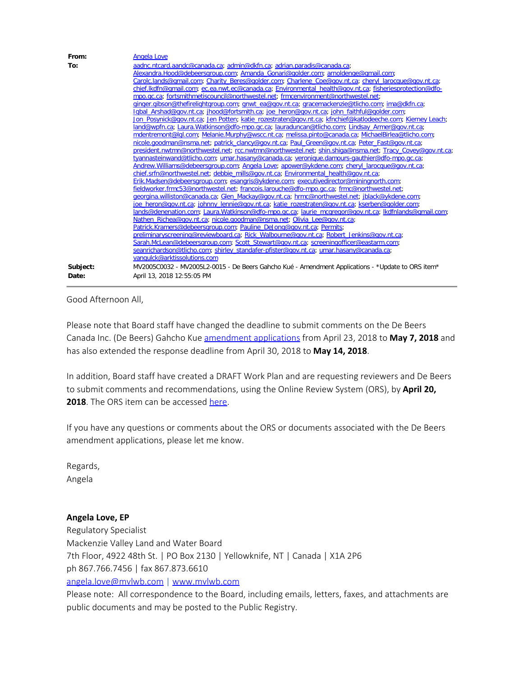| From:    | <b>Angela Love</b>                                                                                        |
|----------|-----------------------------------------------------------------------------------------------------------|
| To:      | aadnc.ntcard.aandc@canada.ca; admin@dkfn.ca; adrian.paradis@canada.ca;                                    |
|          | Alexandra.Hood@debeersgroup.com; Amanda Gonari@golder.com; arnoldenge@gmail.com;                          |
|          | Carolc.lands@gmail.com; Charity Beres@golder.com; Charlene Coe@gov.nt.ca; cheryl larocque@gov.nt.ca;      |
|          | chief.lkdfn@qmail.com; ec.ea.nwt.ec@canada.ca; Environmental health@qov.nt.ca; fisheriesprotection@dfo-   |
|          | mpo.ac.ca: fortsmithmetiscouncil@northwestel.net: frmcenvironment@northwestel.net:                        |
|          | ginger.gibson@thefirelightgroup.com; gnwt ea@gov.nt.ca; gracemackenzie@tlicho.com; ima@dkfn.ca;           |
|          | Igbal Arshad@gov.nt.ca; jhood@fortsmith.ca; joe heron@gov.nt.ca; john faithful@golder.com;                |
|          | Jon Posynick@gov.nt.ca; Jen Potten; katie rozestraten@gov.nt.ca; kfnchief@katlodeeche.com; Kierney Leach; |
|          | land@wpfn.ca; Laura.Watkinson@dfo-mpo.gc.ca; lauraduncan@tlicho.com; Lindsay Armer@gov.nt.ca;             |
|          | mdentremont@lql.com; Melanie.Murphy@wscc.nt.ca; melissa.pinto@canada.ca; MichaelBirlea@tlicho.com;        |
|          | nicole.goodman@nsma.net; patrick_clancy@gov.nt.ca; Paul_Green@gov.nt.ca; Peter_Fast@gov.nt.ca;            |
|          | president.nwtmn@northwestel.net; rcc.nwtmn@northwestel.net; shin.shiga@nsma.net; Tracy Covey@gov.nt.ca;   |
|          | tyannasteinwand@tlicho.com; umar.hasany@canada.ca; veronique.damours-gauthier@dfo-mpo.gc.ca;              |
|          | Andrew.Williams@debeersgroup.com; Angela Love; apower@ykdene.com; cheryl larocque@gov.nt.ca;              |
|          | chief.srfn@northwestel.net; debbie_mills@qov.nt.ca; Environmental_health@qov.nt.ca;                       |
|          | Erik.Madsen@debeersgroup.com; esangris@ykdene.com; executivedirector@miningnorth.com;                     |
|          | fieldworker.frmc53@northwestel.net; francois.larouche@dfo-mpo.gc.ca; frmc@northwestel.net;                |
|          | georgina.williston@canada.ca; Glen_Mackay@gov.nt.ca; hrmc@northwestel.net; jblack@ykdene.com;             |
|          | joe heron@gov.nt.ca; johnny lennie@gov.nt.ca; katie rozestraten@gov.nt.ca; kserben@golder.com;            |
|          | lands@denenation.com; Laura.Watkinson@dfo-mpo.gc.ca; laurie_mcgregor@gov.nt.ca; lkdfnlands@gmail.com;     |
|          | Nathen Richea@gov.nt.ca; nicole.goodman@nsma.net; Olivia Lee@gov.nt.ca;                                   |
|          | Patrick.Kramers@debeersgroup.com; Pauline_DeJong@gov.nt.ca; Permits;                                      |
|          | preliminaryscreening@reviewboard.ca; Rick Walbourne@gov.nt.ca; Robert Jenkins@gov.nt.ca;                  |
|          | Sarah.McLean@debeersgroup.com; Scott Stewart@gov.nt.ca; screeningofficer@eastarm.com;                     |
|          | seanrichardson@tlicho.com; shirley standafer-pfister@gov.nt.ca; umar.hasany@canada.ca;                    |
|          | vangulck@arktissolutions.com                                                                              |
| Subject: | MV2005C0032 - MV2005L2-0015 - De Beers Gahcho Kué - Amendment Applications - *Update to ORS item*         |
| Date:    | April 13, 2018 12:55:05 PM                                                                                |

Good Afternoon All,

Please note that Board staff have changed the deadline to submit comments on the De Beers Canada Inc. (De Beers) Gahcho Kue [amendment applications](http://lwbors.yk.com/LWB_IMS/ReviewComment.aspx?appid=12440) from April 23, 2018 to **May 7, 2018** and has also extended the response deadline from April 30, 2018 to **May 14, 2018**.

In addition, Board staff have created a DRAFT Work Plan and are requesting reviewers and De Beers to submit comments and recommendations, using the Online Review System (ORS), by **April 20, 2018**. The ORS item can be accessed [here](http://lwbors.yk.com/LWB_IMS/ReviewComment.aspx?appid=12462).

If you have any questions or comments about the ORS or documents associated with the De Beers amendment applications, please let me know.

Regards, Angela

## **Angela Love, EP**

Regulatory Specialist Mackenzie Valley Land and Water Board 7th Floor, 4922 48th St. | PO Box 2130 | Yellowknife, NT | Canada | X1A 2P6 ph 867.766.7456 | fax 867.873.6610 [angela.love@mvlwb.com](mailto:angela.love@mvlwb.com) | [www.mvlwb.com](http://www.mvlwb.com/)

Please note: All correspondence to the Board, including emails, letters, faxes, and attachments are public documents and may be posted to the Public Registry.